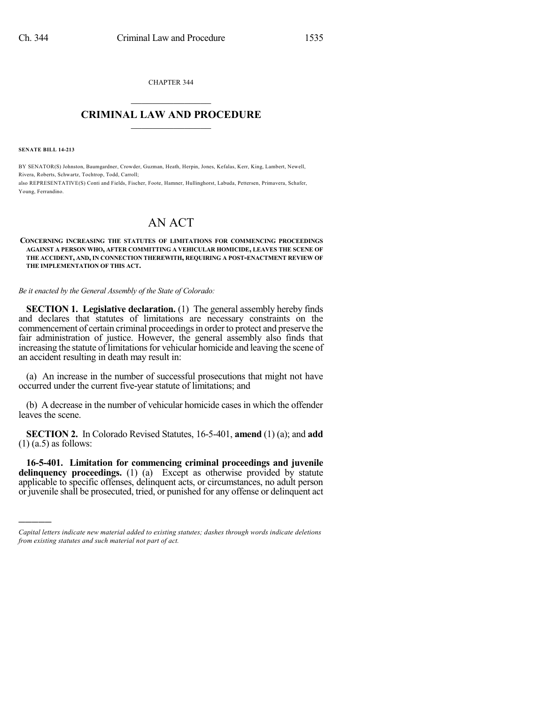CHAPTER 344  $\overline{\phantom{a}}$  . The set of the set of the set of the set of the set of the set of the set of the set of the set of the set of the set of the set of the set of the set of the set of the set of the set of the set of the set o

## **CRIMINAL LAW AND PROCEDURE**  $\frac{1}{2}$  ,  $\frac{1}{2}$  ,  $\frac{1}{2}$  ,  $\frac{1}{2}$  ,  $\frac{1}{2}$  ,  $\frac{1}{2}$  ,  $\frac{1}{2}$

**SENATE BILL 14-213**

)))))

BY SENATOR(S) Johnston, Baumgardner, Crowder, Guzman, Heath, Herpin, Jones, Kefalas, Kerr, King, Lambert, Newell, Rivera, Roberts, Schwartz, Tochtrop, Todd, Carroll; also REPRESENTATIVE(S) Conti and Fields, Fischer, Foote, Hamner, Hullinghorst, Labuda, Pettersen, Primavera, Schafer, Young, Ferrandino.

## AN ACT

## **CONCERNING INCREASING THE STATUTES OF LIMITATIONS FOR COMMENCING PROCEEDINGS AGAINST A PERSON WHO, AFTER COMMITTING A VEHICULAR HOMICIDE, LEAVES THE SCENE OF THE ACCIDENT, AND, IN CONNECTION THEREWITH, REQUIRING A POST-ENACTMENT REVIEW OF THE IMPLEMENTATION OF THIS ACT.**

*Be it enacted by the General Assembly of the State of Colorado:*

**SECTION 1. Legislative declaration.** (1) The general assembly hereby finds and declares that statutes of limitations are necessary constraints on the commencement of certain criminal proceedings in order to protect and preserve the fair administration of justice. However, the general assembly also finds that increasing the statute of limitations for vehicular homicide and leaving the scene of an accident resulting in death may result in:

(a) An increase in the number of successful prosecutions that might not have occurred under the current five-year statute of limitations; and

(b) A decrease in the number of vehicular homicide cases in which the offender leaves the scene.

**SECTION 2.** In Colorado Revised Statutes, 16-5-401, **amend** (1) (a); and **add**  $(1)$  (a.5) as follows:

**16-5-401. Limitation for commencing criminal proceedings and juvenile delinquency proceedings.** (1) (a) Except as otherwise provided by statute applicable to specific offenses, delinquent acts, or circumstances, no adult person or juvenile shall be prosecuted, tried, or punished for any offense or delinquent act

*Capital letters indicate new material added to existing statutes; dashes through words indicate deletions from existing statutes and such material not part of act.*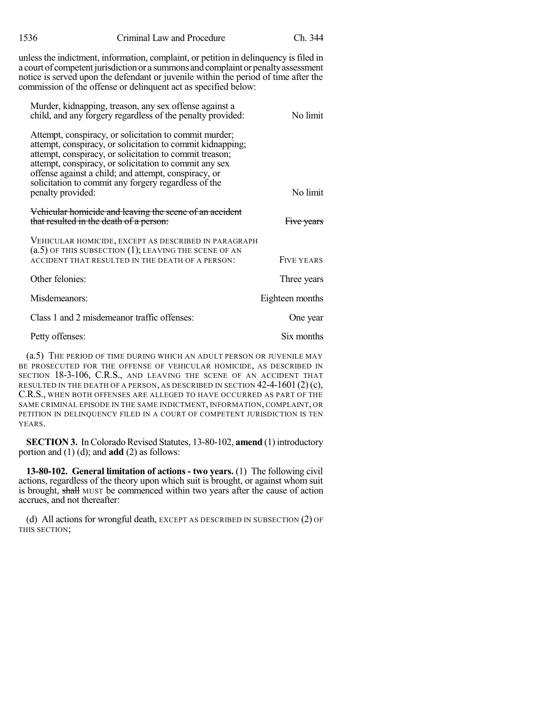| 1536                                                                                                                                                                                                                                                                                                                                  | Criminal Law and Procedure                                                                                                                                                                                                                                                                                                                                | Ch. 344           |
|---------------------------------------------------------------------------------------------------------------------------------------------------------------------------------------------------------------------------------------------------------------------------------------------------------------------------------------|-----------------------------------------------------------------------------------------------------------------------------------------------------------------------------------------------------------------------------------------------------------------------------------------------------------------------------------------------------------|-------------------|
| unless the indictment, information, complaint, or petition in delinquency is filed in<br>a court of competent jurisdiction or a summons and complaint or penalty assessment<br>notice is served upon the defendant or juvenile within the period of time after the<br>commission of the offense or delinquent act as specified below: |                                                                                                                                                                                                                                                                                                                                                           |                   |
|                                                                                                                                                                                                                                                                                                                                       | Murder, kidnapping, treason, any sex offense against a<br>child, and any forgery regardless of the penalty provided:                                                                                                                                                                                                                                      | No limit          |
| penalty provided:                                                                                                                                                                                                                                                                                                                     | Attempt, conspiracy, or solicitation to commit murder;<br>attempt, conspiracy, or solicitation to commit kidnapping;<br>attempt, conspiracy, or solicitation to commit treason;<br>attempt, conspiracy, or solicitation to commit any sex<br>offense against a child; and attempt, conspiracy, or<br>solicitation to commit any forgery regardless of the | No limit          |
|                                                                                                                                                                                                                                                                                                                                       | Vehicular homicide and leaving the scene of an accident<br>that resulted in the death of a person:                                                                                                                                                                                                                                                        | Five years        |
|                                                                                                                                                                                                                                                                                                                                       | VEHICULAR HOMICIDE, EXCEPT AS DESCRIBED IN PARAGRAPH<br>$(a.5)$ of this subsection $(1)$ ; leaving the scene of an<br>ACCIDENT THAT RESULTED IN THE DEATH OF A PERSON:                                                                                                                                                                                    | <b>FIVE YEARS</b> |
| Other felonies:                                                                                                                                                                                                                                                                                                                       |                                                                                                                                                                                                                                                                                                                                                           | Three years       |
| Misdemeanors:                                                                                                                                                                                                                                                                                                                         |                                                                                                                                                                                                                                                                                                                                                           | Eighteen months   |
|                                                                                                                                                                                                                                                                                                                                       | Class 1 and 2 misdemeanor traffic offenses:                                                                                                                                                                                                                                                                                                               | One year          |
| Petty offenses:                                                                                                                                                                                                                                                                                                                       |                                                                                                                                                                                                                                                                                                                                                           | Six months        |
| $(a, 5)$ The bedion of time niping which an anii t bedeon op hivenie MAV                                                                                                                                                                                                                                                              |                                                                                                                                                                                                                                                                                                                                                           |                   |

(a.5) THE PERIOD OF TIME DURING WHICH AN ADULT PERSON OR JUVENILE MAY BE PROSECUTED FOR THE OFFENSE OF VEHICULAR HOMICIDE, AS DESCRIBED IN SECTION 18-3-106, C.R.S., AND LEAVING THE SCENE OF AN ACCIDENT THAT RESULTED IN THE DEATH OF A PERSON, AS DESCRIBED IN SECTION  $42-4-1601(2)(c)$ , C.R.S., WHEN BOTH OFFENSES ARE ALLEGED TO HAVE OCCURRED AS PART OF THE SAME CRIMINAL EPISODE IN THE SAME INDICTMENT, INFORMATION, COMPLAINT, OR PETITION IN DELINQUENCY FILED IN A COURT OF COMPETENT JURISDICTION IS TEN YEARS.

**SECTION 3.** In Colorado Revised Statutes, 13-80-102, **amend** (1) introductory portion and (1) (d); and **add** (2) as follows:

**13-80-102. General limitation of actions - two years.** (1) The following civil actions, regardless of the theory upon which suit is brought, or against whom suit is brought, shall MUST be commenced within two years after the cause of action accrues, and not thereafter:

(d) All actions for wrongful death, EXCEPT AS DESCRIBED IN SUBSECTION (2) OF THIS SECTION;